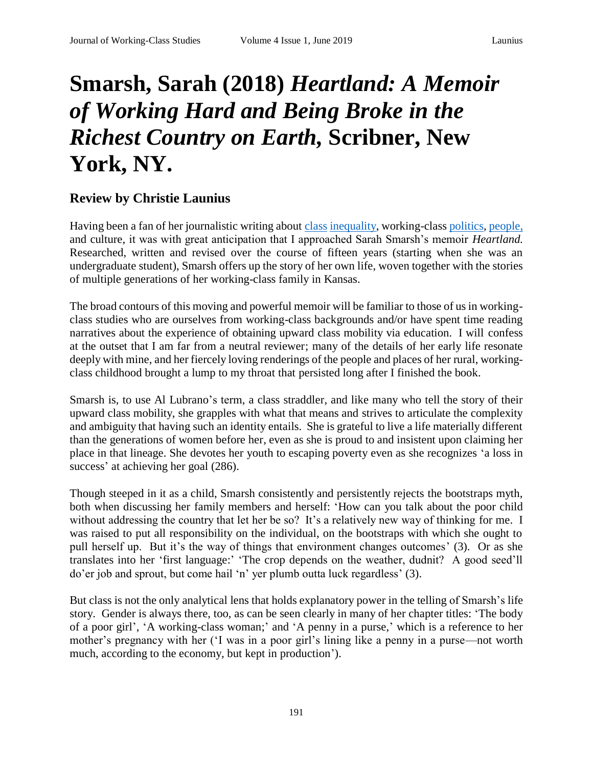## **Smarsh, Sarah (2018)** *Heartland: A Memoir of Working Hard and Being Broke in the Richest Country on Earth,* **Scribner, New York, NY.**

## **Review by Christie Launius**

Having been a fan of her journalistic writing about [class](https://www.newyorker.com/business/currency/poverty-pride-prejudice-kansas?intcid=mod-latest) [inequality,](https://aeon.co/essays/there-is-no-shame-worse-than-poor-teeth-in-a-rich-world) working-class [politics,](https://www.theguardian.com/us-news/2018/jul/26/alexandria-ocasio-cortez-bernie-sanders-kansas-james-thompson?CMP=Share_iOSApp_Other) [people,](https://www.theguardian.com/world/2017/jun/25/feminism-working-class-women-gender-theory-dolly-parton) and culture, it was with great anticipation that I approached Sarah Smarsh's memoir *Heartland.* Researched, written and revised over the course of fifteen years (starting when she was an undergraduate student), Smarsh offers up the story of her own life, woven together with the stories of multiple generations of her working-class family in Kansas.

The broad contours of this moving and powerful memoir will be familiar to those of us in workingclass studies who are ourselves from working-class backgrounds and/or have spent time reading narratives about the experience of obtaining upward class mobility via education. I will confess at the outset that I am far from a neutral reviewer; many of the details of her early life resonate deeply with mine, and her fiercely loving renderings of the people and places of her rural, workingclass childhood brought a lump to my throat that persisted long after I finished the book.

Smarsh is, to use Al Lubrano's term*,* a class straddler, and like many who tell the story of their upward class mobility, she grapples with what that means and strives to articulate the complexity and ambiguity that having such an identity entails. She is grateful to live a life materially different than the generations of women before her, even as she is proud to and insistent upon claiming her place in that lineage. She devotes her youth to escaping poverty even as she recognizes 'a loss in success' at achieving her goal  $(286)$ .

Though steeped in it as a child, Smarsh consistently and persistently rejects the bootstraps myth, both when discussing her family members and herself: 'How can you talk about the poor child without addressing the country that let her be so? It's a relatively new way of thinking for me. I was raised to put all responsibility on the individual, on the bootstraps with which she ought to pull herself up. But it's the way of things that environment changes outcomes' (3). Or as she translates into her 'first language:' 'The crop depends on the weather, dudnit? A good seed'll do'er job and sprout, but come hail 'n' yer plumb outta luck regardless' (3).

But class is not the only analytical lens that holds explanatory power in the telling of Smarsh's life story. Gender is always there, too, as can be seen clearly in many of her chapter titles: 'The body of a poor girl', 'A working-class woman;' and 'A penny in a purse,' which is a reference to her mother's pregnancy with her ('I was in a poor girl's lining like a penny in a purse—not worth much, according to the economy, but kept in production').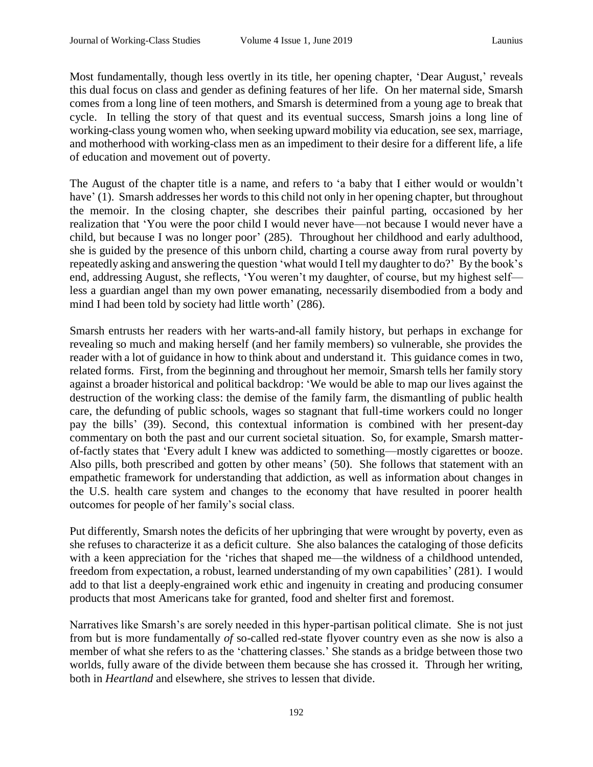Most fundamentally, though less overtly in its title, her opening chapter, 'Dear August,' reveals this dual focus on class and gender as defining features of her life. On her maternal side, Smarsh comes from a long line of teen mothers, and Smarsh is determined from a young age to break that cycle. In telling the story of that quest and its eventual success, Smarsh joins a long line of working-class young women who, when seeking upward mobility via education, see sex, marriage, and motherhood with working-class men as an impediment to their desire for a different life, a life of education and movement out of poverty.

The August of the chapter title is a name, and refers to 'a baby that I either would or wouldn't have' (1). Smarsh addresses her words to this child not only in her opening chapter, but throughout the memoir. In the closing chapter, she describes their painful parting, occasioned by her realization that 'You were the poor child I would never have—not because I would never have a child, but because I was no longer poor' (285). Throughout her childhood and early adulthood, she is guided by the presence of this unborn child, charting a course away from rural poverty by repeatedly asking and answering the question 'what would I tell my daughter to do?' By the book's end, addressing August, she reflects, 'You weren't my daughter, of course, but my highest self less a guardian angel than my own power emanating, necessarily disembodied from a body and mind I had been told by society had little worth' (286).

Smarsh entrusts her readers with her warts-and-all family history, but perhaps in exchange for revealing so much and making herself (and her family members) so vulnerable, she provides the reader with a lot of guidance in how to think about and understand it. This guidance comes in two, related forms. First, from the beginning and throughout her memoir, Smarsh tells her family story against a broader historical and political backdrop: 'We would be able to map our lives against the destruction of the working class: the demise of the family farm, the dismantling of public health care, the defunding of public schools, wages so stagnant that full-time workers could no longer pay the bills' (39). Second, this contextual information is combined with her present-day commentary on both the past and our current societal situation. So, for example, Smarsh matterof-factly states that 'Every adult I knew was addicted to something—mostly cigarettes or booze. Also pills, both prescribed and gotten by other means' (50). She follows that statement with an empathetic framework for understanding that addiction, as well as information about changes in the U.S. health care system and changes to the economy that have resulted in poorer health outcomes for people of her family's social class.

Put differently, Smarsh notes the deficits of her upbringing that were wrought by poverty, even as she refuses to characterize it as a deficit culture. She also balances the cataloging of those deficits with a keen appreciation for the 'riches that shaped me—the wildness of a childhood untended, freedom from expectation, a robust, learned understanding of my own capabilities' (281). I would add to that list a deeply-engrained work ethic and ingenuity in creating and producing consumer products that most Americans take for granted, food and shelter first and foremost.

Narratives like Smarsh's are sorely needed in this hyper-partisan political climate. She is not just from but is more fundamentally *of* so-called red-state flyover country even as she now is also a member of what she refers to as the 'chattering classes.' She stands as a bridge between those two worlds, fully aware of the divide between them because she has crossed it. Through her writing, both in *Heartland* and elsewhere, she strives to lessen that divide.